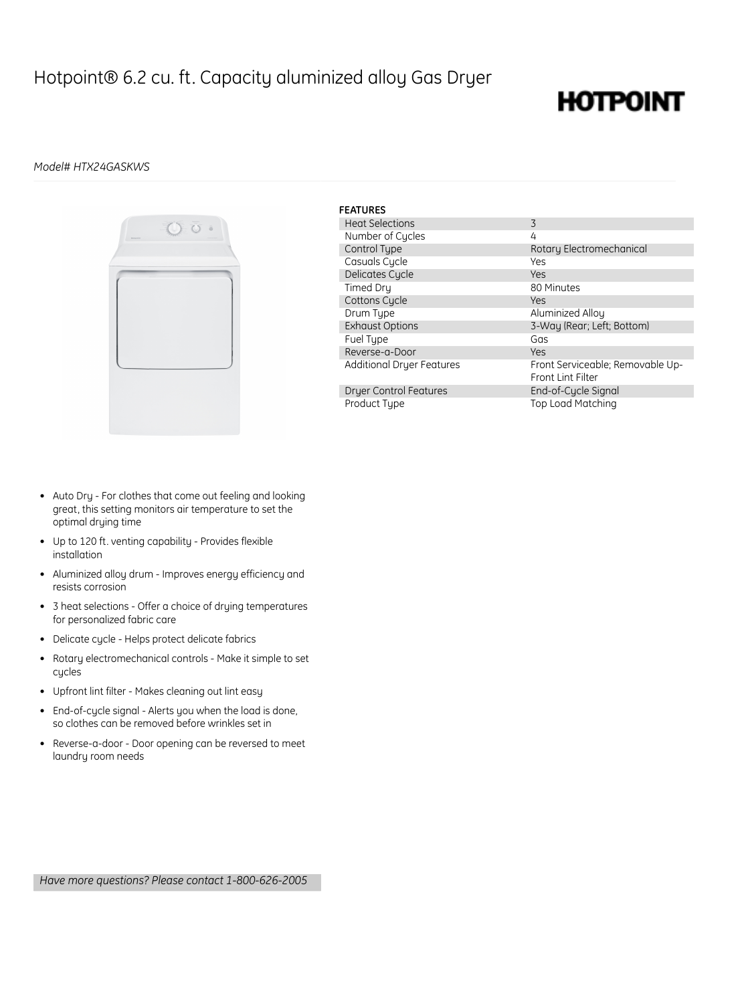### Hotpoint® 6.2 cu. ft. Capacity aluminized alloy Gas Dryer

## **HOTPOINT**

### *Model# HTX24GASKWS*



| <b>FEATURES</b>                  |                                                       |
|----------------------------------|-------------------------------------------------------|
| <b>Heat Selections</b>           | 3                                                     |
| Number of Cycles                 | 4                                                     |
| Control Type                     | Rotary Electromechanical                              |
| Casuals Cycle                    | Yes                                                   |
| Delicates Cycle                  | Yes                                                   |
| Timed Dry                        | 80 Minutes                                            |
| Cottons Cycle                    | Yes                                                   |
| Drum Type                        | Aluminized Allou                                      |
| <b>Exhaust Options</b>           | 3-Way (Rear; Left; Bottom)                            |
| Fuel Type                        | Gas                                                   |
| Reverse-a-Door                   | Yes                                                   |
| <b>Additional Dryer Features</b> | Front Serviceable; Removable Up-<br>Front Lint Filter |
| Dryer Control Features           | End-of-Cycle Signal                                   |
| Product Type                     | <b>Top Load Matching</b>                              |

- Auto Dry For clothes that come out feeling and looking great, this setting monitors air temperature to set the optimal drying time
- Up to 120 ft. venting capability Provides flexible installation
- Aluminized alloy drum Improves energy efficiency and resists corrosion
- 3 heat selections Offer a choice of drying temperatures for personalized fabric care
- Delicate cycle Helps protect delicate fabrics
- Rotary electromechanical controls Make it simple to set cycles
- Upfront lint filter Makes cleaning out lint easy
- End-of-cycle signal Alerts you when the load is done, so clothes can be removed before wrinkles set in
- Reverse-a-door Door opening can be reversed to meet laundry room needs

*Have more questions? Please contact 1-800-626-2005*